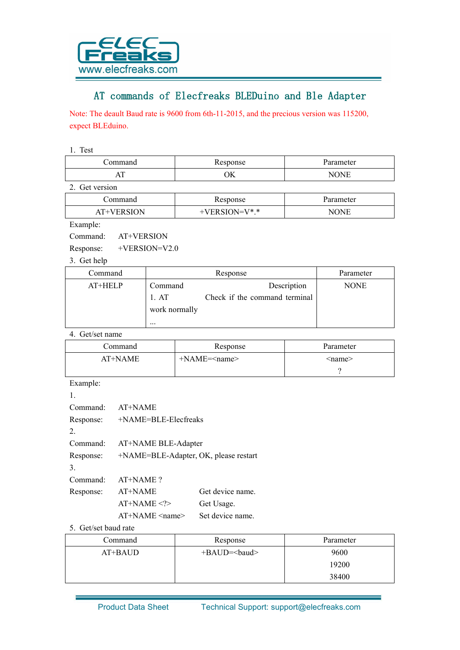

## AT commands of Elecfreaks BLEDuino and Ble Adapter

Note: The deault Baud rate is 9600 from 6th-11-2015, and the precious version was 115200, expect BLEduino.

1. Test

| $\sim$<br>111 | $\sim$<br>ОK<br>$\sim$ | - |
|---------------|------------------------|---|

2. Get version

| ∖ommand           | esponse     | rameter   |
|-------------------|-------------|-----------|
| VERSION<br>$AT+V$ | $N = V^* *$ | ONE<br>NO |

Example:

Command: AT+VERSION

Response: +VERSION=V2.0

3. Get help

| Command | Response      |                               | Parameter   |
|---------|---------------|-------------------------------|-------------|
| AT+HELP | Command       | Description                   | <b>NONE</b> |
|         | 1.AT          | Check if the command terminal |             |
|         | work normally |                               |             |
|         | $\cdots$      |                               |             |

4. Get/set name

| ∴ommand | Response                     | Parameter     |
|---------|------------------------------|---------------|
| AT+NAME | $+NAME=\langle name \rangle$ | <name></name> |
|         |                              |               |

Example:

| Command:  | AT+NAME                               |                  |
|-----------|---------------------------------------|------------------|
| Response: | $+NAME=BLE-Electreaks$                |                  |
| 2         |                                       |                  |
| Command:  | AT+NAME BLE-Adapter                   |                  |
| Response: | +NAME=BLE-Adapter, OK, please restart |                  |
| 3         |                                       |                  |
| Command   | AT+NAME?                              |                  |
| Response: | AT+NAME                               | Get device name. |
|           | $AT+NAME < ?>$                        | Get Usage.       |
|           | $AT+NAME$ $\langle$ name $\rangle$    | Set device name. |

5. Get/set baud rate

| Command   | Response      | Parameter |
|-----------|---------------|-----------|
| $AT+BAUD$ | $+BAUD=baud>$ | 9600      |
|           |               | 19200     |
|           |               | 38400     |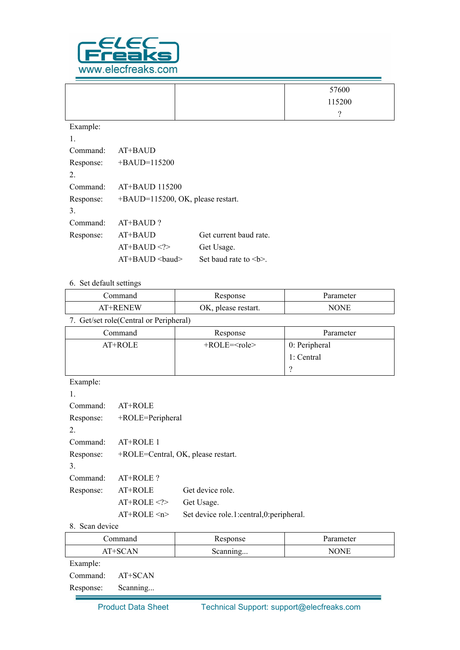

|           |                                   |                        | 57600  |
|-----------|-----------------------------------|------------------------|--------|
|           |                                   |                        | 115200 |
|           |                                   |                        | ?      |
| Example:  |                                   |                        |        |
| 1.        |                                   |                        |        |
| Command:  | AT+BAUD                           |                        |        |
| Response: | $+BAUD=115200$                    |                        |        |
| 2.        |                                   |                        |        |
| Command:  | AT+BAUD 115200                    |                        |        |
| Response: | +BAUD=115200, OK, please restart. |                        |        |
| 3.        |                                   |                        |        |
| Command:  | AT+BAUD?                          |                        |        |
| Response: | AT+BAUD                           | Get current baud rate. |        |
|           | $AT+BAUD$                         | Get Usage.             |        |
|           | AT+BAUD<br>baud>                  | Set baud rate to $>.$  |        |

## 6. Set default settings

| ⊅ommand | oonse               | rameter     |
|---------|---------------------|-------------|
| '+RENEW | OK, please restart. | $\tau$<br>N |

7. Get/set role(Central or Peripheral)

| Command | Response       | Parameter     |
|---------|----------------|---------------|
| AT+ROLE | $+ROLE = role$ | 0: Peripheral |
|         |                | 1: Central    |
|         |                |               |

Example:

| 1.        |                                    |                                            |
|-----------|------------------------------------|--------------------------------------------|
| Command:  | $AT+ROLE$                          |                                            |
| Response: | +ROLE=Peripheral                   |                                            |
| 2         |                                    |                                            |
| Command:  | AT+ROLE 1                          |                                            |
| Response: | +ROLE=Central, OK, please restart. |                                            |
| 3.        |                                    |                                            |
| Command:  | $AT+ROLE$ ?                        |                                            |
| Response: | $AT+ROLE$                          | Get device role                            |
|           | $AT+ROLE < ?>$                     | Get Usage.                                 |
|           | $AT+ROLE \le n$                    | Set device role.1: central, 0: peripheral. |

## 8. Scan device

|           | Command  | Response | Parameter   |
|-----------|----------|----------|-------------|
|           | AT+SCAN  | Scanning | <b>NONE</b> |
| Example:  |          |          |             |
| Command:  | AT+SCAN  |          |             |
| Response: | Scanning |          |             |
|           |          |          |             |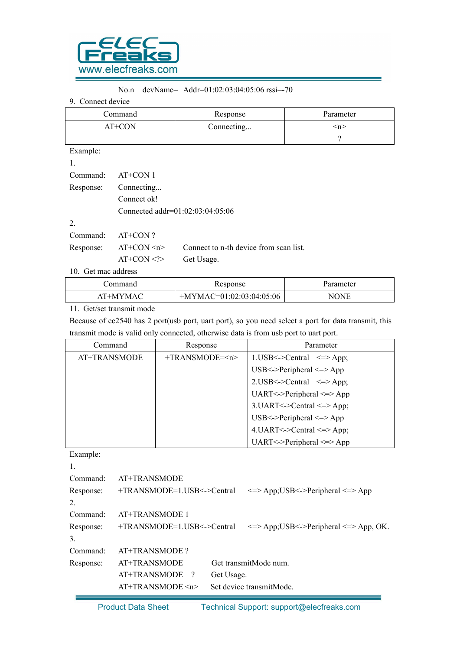

## No.n devName= Addr=01:02:03:04:05:06 rssi=-70

9. Connect device

|           | Command<br>Response |                                        | Parameter |
|-----------|---------------------|----------------------------------------|-----------|
| AT+CON    |                     | Connecting                             | $\leq n$  |
|           |                     |                                        | ?         |
| Example:  |                     |                                        |           |
| 1.        |                     |                                        |           |
| Command:  | AT+CON 1            |                                        |           |
| Response: | Connecting          |                                        |           |
|           | Connect ok!         |                                        |           |
|           |                     | Connected addr=01:02:03:04:05:06       |           |
| 2.        |                     |                                        |           |
| Command:  | AT+CON?             |                                        |           |
| Response: | $AT+CON \le n$      | Connect to n-th device from scan list. |           |

AT+CON <?> Get Usage.

10. Get mac address

| `ommand<br>esponse                                                                         | .ameter    |
|--------------------------------------------------------------------------------------------|------------|
| $7=01:02:03:04:05:06$<br>$\mathcal{M}$ $\Delta C$<br>$+N$<br>$+M$<br>′ M A ∟<br>A!<br>77 N | 'ONE<br>NO |

11. Get/set transmit mode

Because of cc2540 has 2 port(usb port, uart port), so you need select a port for data transmit, this transmit mode is valid only connected, otherwise data is from usb port to uart port.

| Command      | Response         | Parameter                                   |
|--------------|------------------|---------------------------------------------|
| AT+TRANSMODE | $+TRANSMODE=\nn$ | $1. USB < ->Central \leq > App;$            |
|              |                  | USB<->Peripheral $\le$ > $\ge$ App          |
|              |                  | $2.USB < -\text{Central} \leq >\text{App};$ |
|              |                  | UART<->Peripheral $\le$ >App                |
|              |                  | $3.UART < >Central < \leq > App$ ;          |
|              |                  | USB<->Peripheral <=>App                     |
|              |                  | $4.UART < >Central < \gt{App}$ ;            |
|              |                  | UART <-> Peripheral $\le$ > App             |

Example:

|           | $AT+TRANSMODE \le n$         |            | Set device transmitMode.                             |
|-----------|------------------------------|------------|------------------------------------------------------|
|           | AT+TRANSMODE<br>$\gamma$     | Get Usage. |                                                      |
| Response: | AT+TRANSMODE                 |            | Get transmitMode num.                                |
| Command:  | AT+TRANSMODE?                |            |                                                      |
| 3.        |                              |            |                                                      |
| Response: | $+TRANSMODE=1.USB<->Central$ |            | $\le$ > App; USB $\le$ > Peripheral $\le$ > App, OK. |
| Command:  | AT+TRANSMODE 1               |            |                                                      |
| 2.        |                              |            |                                                      |
| Response: | +TRANSMODE=1.USB<->Central   |            | $\le$ > App; USB $\le$ > Peripheral $\le$ > App      |
| Command:  | AT+TRANSMODE                 |            |                                                      |
| 1.        |                              |            |                                                      |